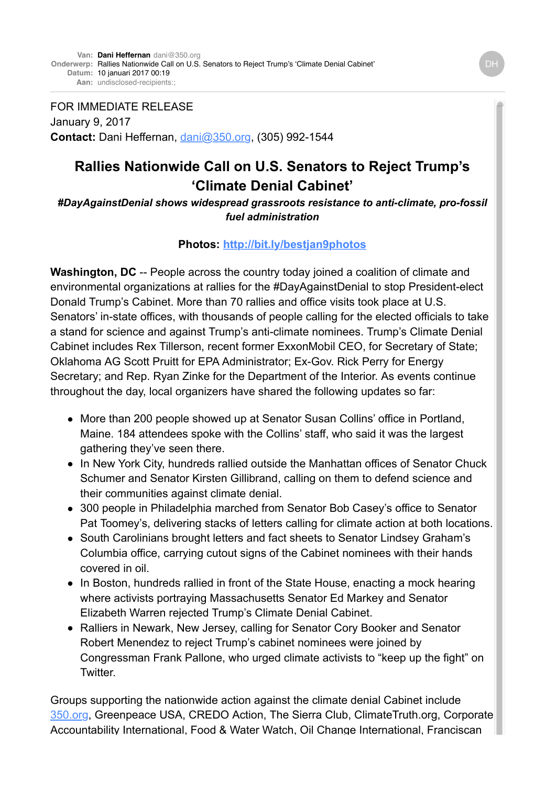FOR IMMEDIATE RELEASE January 9, 2017 **Contact:** Dani Heffernan, [dani@350.org,](mailto:dani@350.org) (305) 992-1544

## **Rallies Nationwide Call on U.S. Senators to Reject Trump's 'Climate Denial Cabinet'**

*#DayAgainstDenial shows widespread grassroots resistance to anti-climate, pro-fossil fuel administration*

## **Photos: <http://bit.ly/bestjan9photos>**

Washington, DC -- People across the country today joined a coalition of climate and environmental organizations at rallies for the #DayAgainstDenial to stop President-elect Donald Trump's Cabinet. More than 70 rallies and office visits took place at U.S. Senators' in-state offices, with thousands of people calling for the elected officials to take a stand for science and against Trump's anti-climate nominees. Trump's Climate Denial Cabinet includes Rex Tillerson, recent former ExxonMobil CEO, for Secretary of State; Oklahoma AG Scott Pruitt for EPA Administrator; Ex-Gov. Rick Perry for Energy Secretary; and Rep. Ryan Zinke for the Department of the Interior. As events continue throughout the day, local organizers have shared the following updates so far:

- More than 200 people showed up at Senator Susan Collins' office in Portland, Maine. 184 attendees spoke with the Collins' staff, who said it was the largest gathering they've seen there.
- In New York City, hundreds rallied outside the Manhattan offices of Senator Chuck Schumer and Senator Kirsten Gillibrand, calling on them to defend science and their communities against climate denial.
- 300 people in Philadelphia marched from Senator Bob Casey's office to Senator Pat Toomey's, delivering stacks of letters calling for climate action at both locations.
- South Carolinians brought letters and fact sheets to Senator Lindsey Graham's Columbia office, carrying cutout signs of the Cabinet nominees with their hands covered in oil.
- In Boston, hundreds rallied in front of the State House, enacting a mock hearing where activists portraying Massachusetts Senator Ed Markey and Senator Elizabeth Warren rejected Trump's Climate Denial Cabinet.
- Ralliers in Newark, New Jersey, calling for Senator Cory Booker and Senator Robert Menendez to reject Trump's cabinet nominees were joined by Congressman Frank Pallone, who urged climate activists to "keep up the fight" on Twitter.

Groups supporting the nationwide action against the climate denial Cabinet include [350.org,](http://350.org/) Greenpeace USA, CREDO Action, The Sierra Club, ClimateTruth.org, Corporate Accountability International, Food & Water Watch, Oil Change International, Franciscan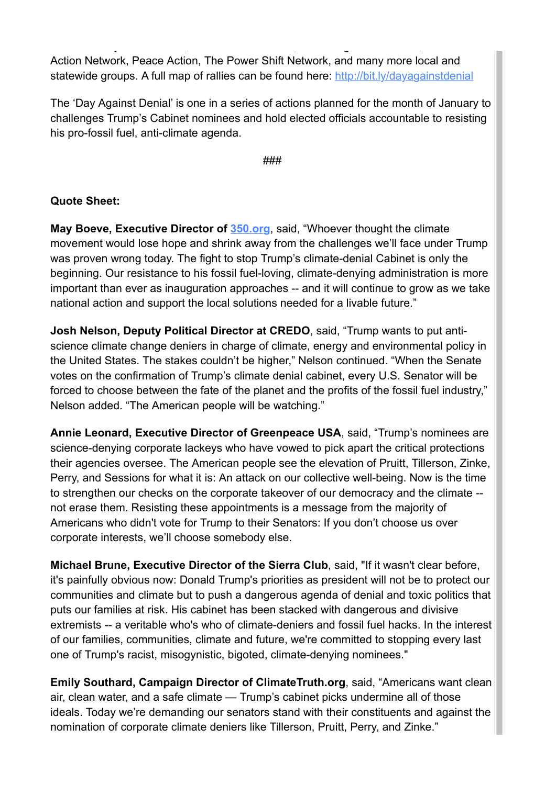Action Network, Peace Action, The Power Shift Network, and many more local and statewide groups. A full map of rallies can be found here: <http://bit.ly/dayagainstdenial>

Accountability International, Food & Water Watch, Oil Change International, Franciscan

The 'Day Against Denial' is one in a series of actions planned for the month of January to challenges Trump's Cabinet nominees and hold elected officials accountable to resisting his pro-fossil fuel, anti-climate agenda.

###

## **Quote Sheet:**

**May Boeve, Executive Director of [350.org](http://350.org/)**, said, "Whoever thought the climate movement would lose hope and shrink away from the challenges we'll face under Trump was proven wrong today. The fight to stop Trump's climate-denial Cabinet is only the beginning. Our resistance to his fossil fuel-loving, climate-denying administration is more important than ever as inauguration approaches -- and it will continue to grow as we take national action and support the local solutions needed for a livable future."

**Josh Nelson, Deputy Political Director at CREDO**, said, "Trump wants to put antiscience climate change deniers in charge of climate, energy and environmental policy in the United States. The stakes couldn't be higher," Nelson continued. "When the Senate votes on the confirmation of Trump's climate denial cabinet, every U.S. Senator will be forced to choose between the fate of the planet and the profits of the fossil fuel industry," Nelson added. "The American people will be watching."

**Annie Leonard, Executive Director of Greenpeace USA**, said, "Trump's nominees are science-denying corporate lackeys who have vowed to pick apart the critical protections their agencies oversee. The American people see the elevation of Pruitt, Tillerson, Zinke, Perry, and Sessions for what it is: An attack on our collective well-being. Now is the time to strengthen our checks on the corporate takeover of our democracy and the climate - not erase them. Resisting these appointments is a message from the majority of Americans who didn't vote for Trump to their Senators: If you don't choose us over corporate interests, we'll choose somebody else.

**Michael Brune, Executive Director of the Sierra Club**, said, "If it wasn't clear before, it's painfully obvious now: Donald Trump's priorities as president will not be to protect our communities and climate but to push a dangerous agenda of denial and toxic politics that puts our families at risk. His cabinet has been stacked with dangerous and divisive extremists -- a veritable who's who of climate-deniers and fossil fuel hacks. In the interest of our families, communities, climate and future, we're committed to stopping every last one of Trump's racist, misogynistic, bigoted, climate-denying nominees."

**Emily Southard, Campaign Director of ClimateTruth.org**, said, "Americans want clean air, clean water, and a safe climate — Trump's cabinet picks undermine all of those ideals. Today we're demanding our senators stand with their constituents and against the nomination of corporate climate deniers like Tillerson, Pruitt, Perry, and Zinke."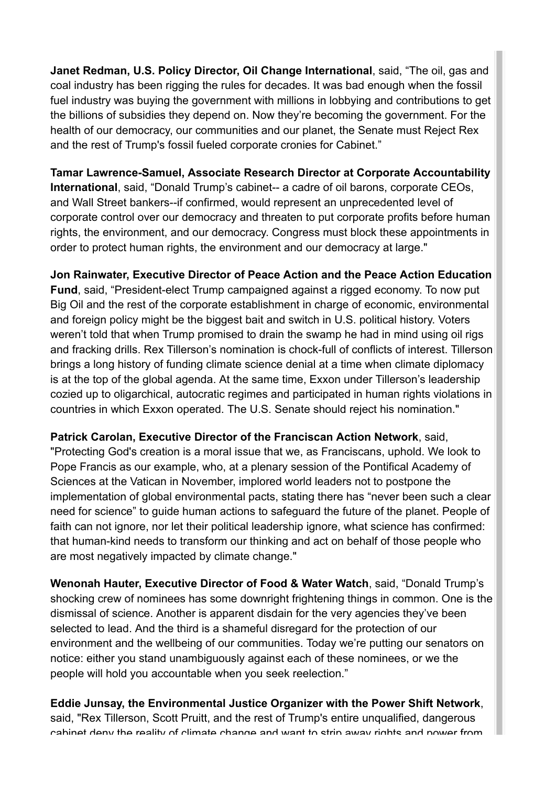**Janet Redman, U.S. Policy Director, Oil Change International**, said, "The oil, gas and coal industry has been rigging the rules for decades. It was bad enough when the fossil fuel industry was buying the government with millions in lobbying and contributions to get the billions of subsidies they depend on. Now they're becoming the government. For the health of our democracy, our communities and our planet, the Senate must Reject Rex and the rest of Trump's fossil fueled corporate cronies for Cabinet."

**Tamar Lawrence-Samuel, Associate Research Director at Corporate Accountability International**, said, "Donald Trump's cabinet-- a cadre of oil barons, corporate CEOs, and Wall Street bankers--if confirmed, would represent an unprecedented level of corporate control over our democracy and threaten to put corporate profits before human rights, the environment, and our democracy. Congress must block these appointments in order to protect human rights, the environment and our democracy at large."

**Jon Rainwater, Executive Director of Peace Action and the Peace Action Education Fund**, said, "President-elect Trump campaigned against a rigged economy. To now put Big Oil and the rest of the corporate establishment in charge of economic, environmental and foreign policy might be the biggest bait and switch in U.S. political history. Voters weren't told that when Trump promised to drain the swamp he had in mind using oil rigs and fracking drills. Rex Tillerson's nomination is chock-full of conflicts of interest. Tillerson brings a long history of funding climate science denial at a time when climate diplomacy is at the top of the global agenda. At the same time, Exxon under Tillerson's leadership cozied up to oligarchical, autocratic regimes and participated in human rights violations in countries in which Exxon operated. The U.S. Senate should reject his nomination."

**Patrick Carolan, Executive Director of the Franciscan Action Network**, said, "Protecting God's creation is a moral issue that we, as Franciscans, uphold. We look to Pope Francis as our example, who, at a plenary session of the Pontifical Academy of Sciences at the Vatican in November, implored world leaders not to postpone the implementation of global environmental pacts, stating there has "never been such a clear need for science" to guide human actions to safeguard the future of the planet. People of faith can not ignore, nor let their political leadership ignore, what science has confirmed: that human-kind needs to transform our thinking and act on behalf of those people who are most negatively impacted by climate change."

**Wenonah Hauter, Executive Director of Food & Water Watch**, said, "Donald Trump's shocking crew of nominees has some downright frightening things in common. One is the dismissal of science. Another is apparent disdain for the very agencies they've been selected to lead. And the third is a shameful disregard for the protection of our environment and the wellbeing of our communities. Today we're putting our senators on notice: either you stand unambiguously against each of these nominees, or we the people will hold you accountable when you seek reelection."

**Eddie Junsay, the Environmental Justice Organizer with the Power Shift Network**, said, "Rex Tillerson, Scott Pruitt, and the rest of Trump's entire unqualified, dangerous cabinet deny the reality of climate change and want to strip away rights and power from